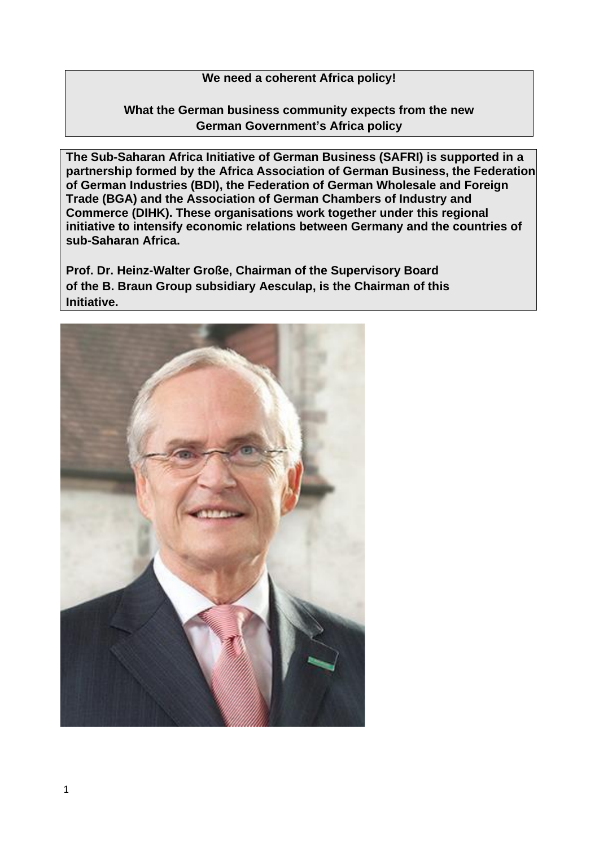## **We need a coherent Africa policy!**

## **What the German business community expects from the new German Government's Africa policy**

**The Sub-Saharan Africa Initiative of German Business (SAFRI) is supported in a partnership formed by the Africa Association of German Business, the Federation of German Industries (BDI), the Federation of German Wholesale and Foreign Trade (BGA) and the Association of German Chambers of Industry and Commerce (DIHK). These organisations work together under this regional initiative to intensify economic relations between Germany and the countries of sub-Saharan Africa.**

**Prof. Dr. Heinz-Walter Große, Chairman of the Supervisory Board of the B. Braun Group subsidiary Aesculap, is the Chairman of this Initiative.**

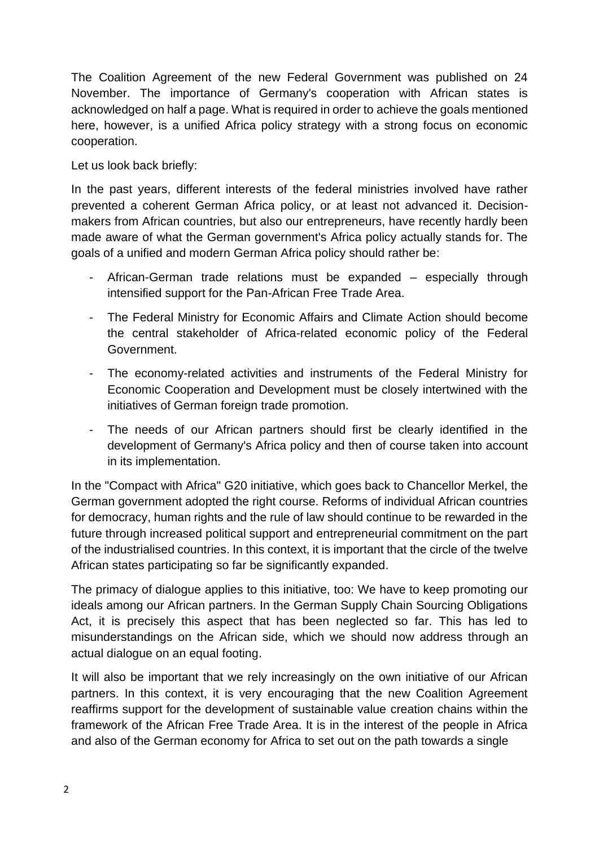The Coalition Agreement of the new Federal Government was published on 24 November. The importance of Germany's cooperation with African states is acknowledged on half a page. What is required in order to achieve the goals mentioned here, however, is a unified Africa policy strategy with a strong focus on economic cooperation.

Let us look back briefly:

In the past years, different interests of the federal ministries involved have rather prevented a coherent German Africa policy, or at least not advanced it. Decisionmakers from African countries, but also our entrepreneurs, have recently hardly been made aware of what the German government's Africa policy actually stands for. The goals of a unified and modern German Africa policy should rather be:

- African-German trade relations must be expanded especially through intensified support for the Pan-African Free Trade Area.
- The Federal Ministry for Economic Affairs and Climate Action should become the central stakeholder of Africa-related economic policy of the Federal Government.
- The economy-related activities and instruments of the Federal Ministry for Economic Cooperation and Development must be closely intertwined with the initiatives of German foreign trade promotion.
- The needs of our African partners should first be clearly identified in the development of Germany's Africa policy and then of course taken into account in its implementation.

In the "Compact with Africa" G20 initiative, which goes back to Chancellor Merkel, the German government adopted the right course. Reforms of individual African countries for democracy, human rights and the rule of law should continue to be rewarded in the future through increased political support and entrepreneurial commitment on the part of the industrialised countries. In this context, it is important that the circle of the twelve African states participating so far be significantly expanded.

The primacy of dialogue applies to this initiative, too: We have to keep promoting our ideals among our African partners. In the German Supply Chain Sourcing Obligations Act, it is precisely this aspect that has been neglected so far. This has led to misunderstandings on the African side, which we should now address through an actual dialogue on an equal footing.

It will also be important that we rely increasingly on the own initiative of our African partners. In this context, it is very encouraging that the new Coalition Agreement reaffirms support for the development of sustainable value creation chains within the framework of the African Free Trade Area. It is in the interest of the people in Africa and also of the German economy for Africa to set out on the path towards a single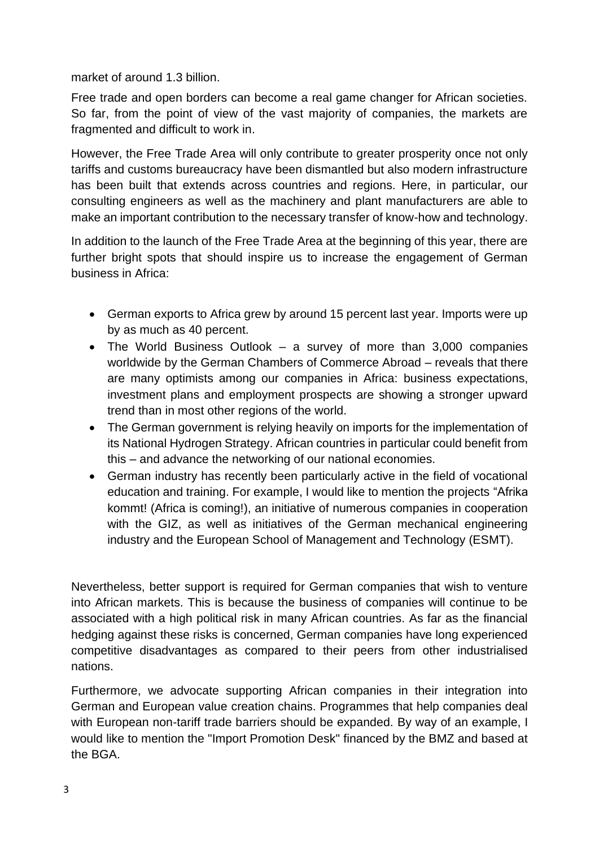market of around 1.3 billion.

Free trade and open borders can become a real game changer for African societies. So far, from the point of view of the vast majority of companies, the markets are fragmented and difficult to work in.

However, the Free Trade Area will only contribute to greater prosperity once not only tariffs and customs bureaucracy have been dismantled but also modern infrastructure has been built that extends across countries and regions. Here, in particular, our consulting engineers as well as the machinery and plant manufacturers are able to make an important contribution to the necessary transfer of know-how and technology.

In addition to the launch of the Free Trade Area at the beginning of this year, there are further bright spots that should inspire us to increase the engagement of German business in Africa:

- German exports to Africa grew by around 15 percent last year. Imports were up by as much as 40 percent.
- The World Business Outlook a survey of more than 3,000 companies worldwide by the German Chambers of Commerce Abroad – reveals that there are many optimists among our companies in Africa: business expectations, investment plans and employment prospects are showing a stronger upward trend than in most other regions of the world.
- The German government is relying heavily on imports for the implementation of its National Hydrogen Strategy. African countries in particular could benefit from this – and advance the networking of our national economies.
- German industry has recently been particularly active in the field of vocational education and training. For example, I would like to mention the projects "Afrika kommt! (Africa is coming!), an initiative of numerous companies in cooperation with the GIZ, as well as initiatives of the German mechanical engineering industry and the European School of Management and Technology (ESMT).

Nevertheless, better support is required for German companies that wish to venture into African markets. This is because the business of companies will continue to be associated with a high political risk in many African countries. As far as the financial hedging against these risks is concerned, German companies have long experienced competitive disadvantages as compared to their peers from other industrialised nations.

Furthermore, we advocate supporting African companies in their integration into German and European value creation chains. Programmes that help companies deal with European non-tariff trade barriers should be expanded. By way of an example, I would like to mention the "Import Promotion Desk" financed by the BMZ and based at the BGA.